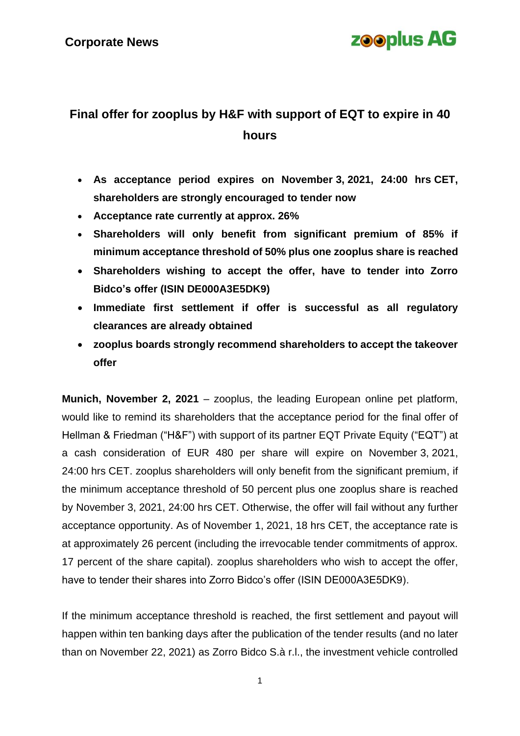# **zooplus AG**

## **Final offer for zooplus by H&F with support of EQT to expire in 40 hours**

- **As acceptance period expires on November 3, 2021, 24:00 hrs CET, shareholders are strongly encouraged to tender now**
- **Acceptance rate currently at approx. 26%**
- **Shareholders will only benefit from significant premium of 85% if minimum acceptance threshold of 50% plus one zooplus share is reached**
- **Shareholders wishing to accept the offer, have to tender into Zorro Bidco's offer (ISIN DE000A3E5DK9)**
- **Immediate first settlement if offer is successful as all regulatory clearances are already obtained**
- **zooplus boards strongly recommend shareholders to accept the takeover offer**

**Munich, November 2, 2021** – zooplus, the leading European online pet platform, would like to remind its shareholders that the acceptance period for the final offer of Hellman & Friedman ("H&F") with support of its partner EQT Private Equity ("EQT") at a cash consideration of EUR 480 per share will expire on November 3, 2021, 24:00 hrs CET. zooplus shareholders will only benefit from the significant premium, if the minimum acceptance threshold of 50 percent plus one zooplus share is reached by November 3, 2021, 24:00 hrs CET. Otherwise, the offer will fail without any further acceptance opportunity. As of November 1, 2021, 18 hrs CET, the acceptance rate is at approximately 26 percent (including the irrevocable tender commitments of approx. 17 percent of the share capital). zooplus shareholders who wish to accept the offer, have to tender their shares into Zorro Bidco's offer (ISIN DE000A3E5DK9).

If the minimum acceptance threshold is reached, the first settlement and payout will happen within ten banking days after the publication of the tender results (and no later than on November 22, 2021) as Zorro Bidco S.à r.l., the investment vehicle controlled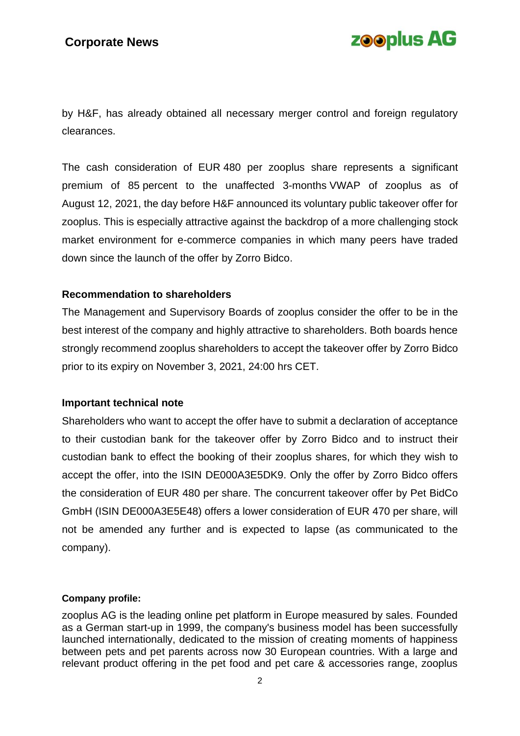# **zooplus AG**

by H&F, has already obtained all necessary merger control and foreign regulatory clearances.

The cash consideration of EUR 480 per zooplus share represents a significant premium of 85 percent to the unaffected 3-months VWAP of zooplus as of August 12, 2021, the day before H&F announced its voluntary public takeover offer for zooplus. This is especially attractive against the backdrop of a more challenging stock market environment for e-commerce companies in which many peers have traded down since the launch of the offer by Zorro Bidco.

### **Recommendation to shareholders**

The Management and Supervisory Boards of zooplus consider the offer to be in the best interest of the company and highly attractive to shareholders. Both boards hence strongly recommend zooplus shareholders to accept the takeover offer by Zorro Bidco prior to its expiry on November 3, 2021, 24:00 hrs CET.

### **Important technical note**

Shareholders who want to accept the offer have to submit a declaration of acceptance to their custodian bank for the takeover offer by Zorro Bidco and to instruct their custodian bank to effect the booking of their zooplus shares, for which they wish to accept the offer, into the ISIN DE000A3E5DK9. Only the offer by Zorro Bidco offers the consideration of EUR 480 per share. The concurrent takeover offer by Pet BidCo GmbH (ISIN DE000A3E5E48) offers a lower consideration of EUR 470 per share, will not be amended any further and is expected to lapse (as communicated to the company).

#### **Company profile:**

zooplus AG is the leading online pet platform in Europe measured by sales. Founded as a German start-up in 1999, the company's business model has been successfully launched internationally, dedicated to the mission of creating moments of happiness between pets and pet parents across now 30 European countries. With a large and relevant product offering in the pet food and pet care & accessories range, zooplus